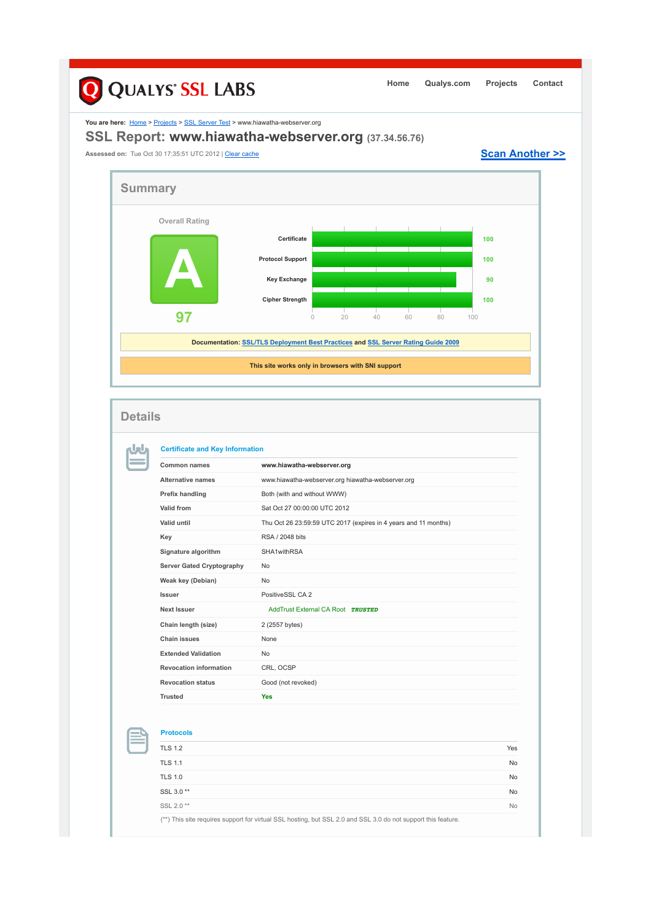## Q QUALYS' SSL LABS **Home Qualys.com Projects Contact** You are here: **Home > Projects > SSL Server Test > www.hiawatha-webserver.org SSL Report: www.hiawatha-webserver.org (37.34.56.76)** Assessed on: Tue Oct 30 17:35:51 UTC 2012 | Clear cache **Scan Another >> Summary Overall Rating Certificate 1000 A Protocol Support 100 Key Exchange 90 Cipher Strength 100 97** 0 20 40 60 80 100 **Documentation: SSL/TLS Deployment Best Practices and SSL Server Rating Guide 2009 This site works only in browsers with SNI support Details Certificate and Key Information** nJnu **Common names www.hiawatha-webserver.org Alternative names** www.hiawatha-webserver.org hiawatha-webserver.org **Prefix handling Both (with and without WWW) Valid from** Sat Oct 27 00:00:00 UTC 2012 **Valid until** Thu Oct 26 23:59:59 UTC 2017 (expires in 4 years and 11 months) **Key** RSA / 2048 bits **Signature algorithm** SHA1withRSA Server Gated Cryptography No **Weak key (Debian)** No **Issuer** PositiveSSL CA 2

**Protocols**

**Next Issuer Next Issuer** AddTrust External CA Root **TRUSTED** 

**Chain length (size)** 2 (2557 bytes) **Chain issues** None **Extended Validation** No **Revocation information** CRL, OCSP **Revocation status** Good (not revoked)

**Trusted Yes**

| .                                                                                                             |           |
|---------------------------------------------------------------------------------------------------------------|-----------|
| <b>TLS 1.2</b>                                                                                                | Yes       |
| <b>TLS 1.1</b>                                                                                                | <b>No</b> |
| <b>TLS 1.0</b>                                                                                                | <b>No</b> |
| SSL 3.0**                                                                                                     | <b>No</b> |
| SSL 2.0**                                                                                                     | <b>No</b> |
| (**) This site requires support for virtual SSL hosting, but SSL 2.0 and SSL 3.0 do not support this feature. |           |